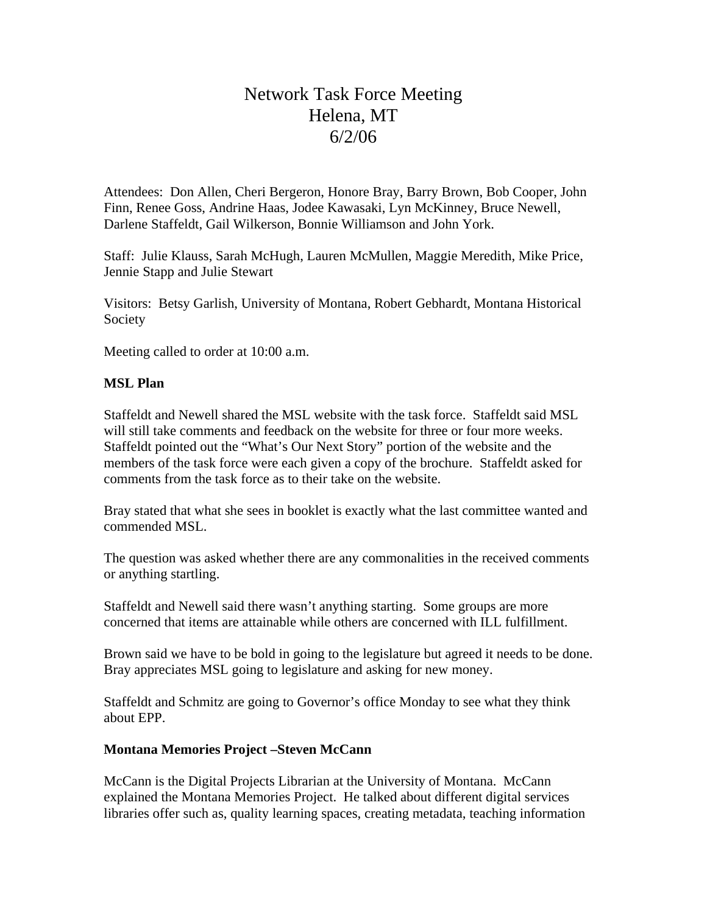# Network Task Force Meeting Helena, MT 6/2/06

Attendees: Don Allen, Cheri Bergeron, Honore Bray, Barry Brown, Bob Cooper, John Finn, Renee Goss, Andrine Haas, Jodee Kawasaki, Lyn McKinney, Bruce Newell, Darlene Staffeldt, Gail Wilkerson, Bonnie Williamson and John York.

Staff: Julie Klauss, Sarah McHugh, Lauren McMullen, Maggie Meredith, Mike Price, Jennie Stapp and Julie Stewart

Visitors: Betsy Garlish, University of Montana, Robert Gebhardt, Montana Historical Society

Meeting called to order at 10:00 a.m.

#### **MSL Plan**

Staffeldt and Newell shared the MSL website with the task force. Staffeldt said MSL will still take comments and feedback on the website for three or four more weeks. Staffeldt pointed out the "What's Our Next Story" portion of the website and the members of the task force were each given a copy of the brochure. Staffeldt asked for comments from the task force as to their take on the website.

Bray stated that what she sees in booklet is exactly what the last committee wanted and commended MSL.

The question was asked whether there are any commonalities in the received comments or anything startling.

Staffeldt and Newell said there wasn't anything starting. Some groups are more concerned that items are attainable while others are concerned with ILL fulfillment.

Brown said we have to be bold in going to the legislature but agreed it needs to be done. Bray appreciates MSL going to legislature and asking for new money.

Staffeldt and Schmitz are going to Governor's office Monday to see what they think about EPP.

#### **Montana Memories Project –Steven McCann**

McCann is the Digital Projects Librarian at the University of Montana. McCann explained the Montana Memories Project. He talked about different digital services libraries offer such as, quality learning spaces, creating metadata, teaching information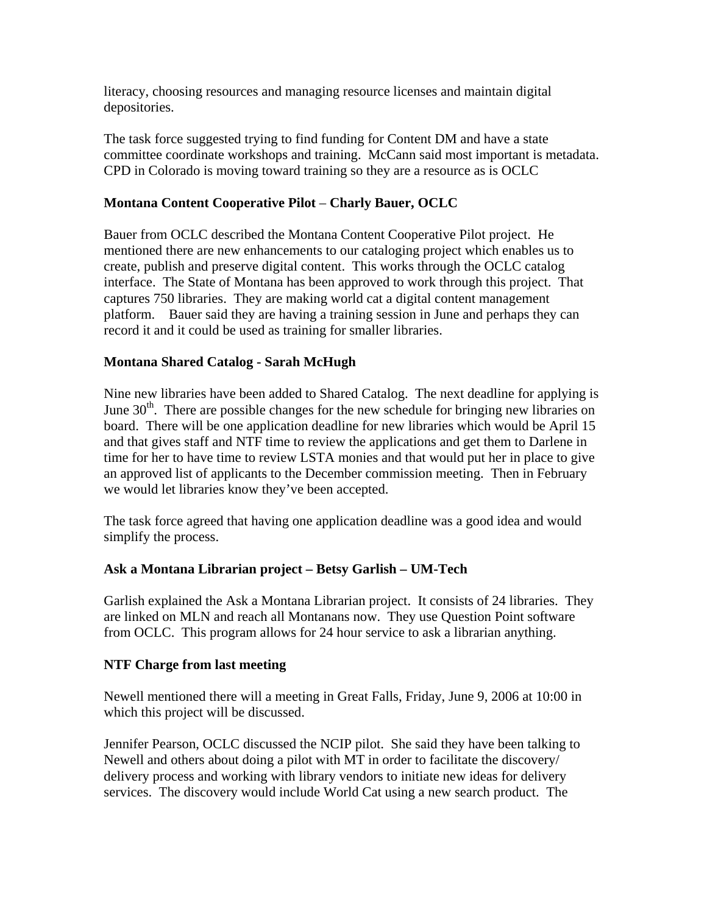literacy, choosing resources and managing resource licenses and maintain digital depositories.

The task force suggested trying to find funding for Content DM and have a state committee coordinate workshops and training. McCann said most important is metadata. CPD in Colorado is moving toward training so they are a resource as is OCLC

## **Montana Content Cooperative Pilot** – **Charly Bauer, OCLC**

Bauer from OCLC described the Montana Content Cooperative Pilot project. He mentioned there are new enhancements to our cataloging project which enables us to create, publish and preserve digital content. This works through the OCLC catalog interface. The State of Montana has been approved to work through this project. That captures 750 libraries. They are making world cat a digital content management platform. Bauer said they are having a training session in June and perhaps they can record it and it could be used as training for smaller libraries.

#### **Montana Shared Catalog - Sarah McHugh**

Nine new libraries have been added to Shared Catalog. The next deadline for applying is June  $30<sup>th</sup>$ . There are possible changes for the new schedule for bringing new libraries on board. There will be one application deadline for new libraries which would be April 15 and that gives staff and NTF time to review the applications and get them to Darlene in time for her to have time to review LSTA monies and that would put her in place to give an approved list of applicants to the December commission meeting. Then in February we would let libraries know they've been accepted.

The task force agreed that having one application deadline was a good idea and would simplify the process.

#### **Ask a Montana Librarian project – Betsy Garlish – UM-Tech**

Garlish explained the Ask a Montana Librarian project. It consists of 24 libraries. They are linked on MLN and reach all Montanans now. They use Question Point software from OCLC. This program allows for 24 hour service to ask a librarian anything.

#### **NTF Charge from last meeting**

Newell mentioned there will a meeting in Great Falls, Friday, June 9, 2006 at 10:00 in which this project will be discussed.

Jennifer Pearson, OCLC discussed the NCIP pilot. She said they have been talking to Newell and others about doing a pilot with MT in order to facilitate the discovery/ delivery process and working with library vendors to initiate new ideas for delivery services. The discovery would include World Cat using a new search product. The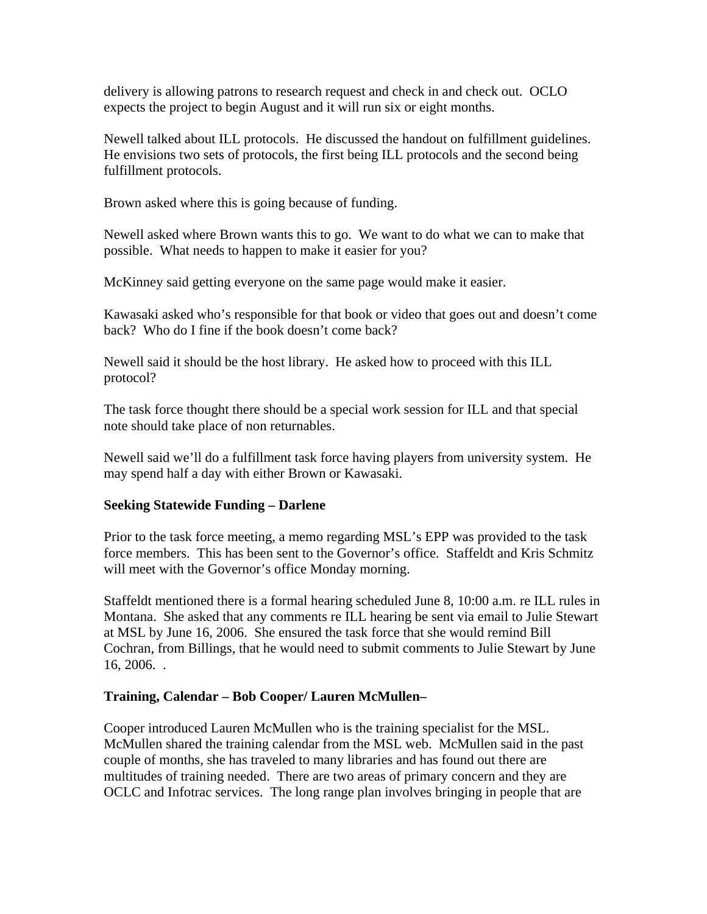delivery is allowing patrons to research request and check in and check out. OCLO expects the project to begin August and it will run six or eight months.

Newell talked about ILL protocols. He discussed the handout on fulfillment guidelines. He envisions two sets of protocols, the first being ILL protocols and the second being fulfillment protocols.

Brown asked where this is going because of funding.

Newell asked where Brown wants this to go. We want to do what we can to make that possible. What needs to happen to make it easier for you?

McKinney said getting everyone on the same page would make it easier.

Kawasaki asked who's responsible for that book or video that goes out and doesn't come back? Who do I fine if the book doesn't come back?

Newell said it should be the host library. He asked how to proceed with this ILL protocol?

The task force thought there should be a special work session for ILL and that special note should take place of non returnables.

Newell said we'll do a fulfillment task force having players from university system. He may spend half a day with either Brown or Kawasaki.

## **Seeking Statewide Funding – Darlene**

Prior to the task force meeting, a memo regarding MSL's EPP was provided to the task force members. This has been sent to the Governor's office. Staffeldt and Kris Schmitz will meet with the Governor's office Monday morning.

Staffeldt mentioned there is a formal hearing scheduled June 8, 10:00 a.m. re ILL rules in Montana. She asked that any comments re ILL hearing be sent via email to Julie Stewart at MSL by June 16, 2006. She ensured the task force that she would remind Bill Cochran, from Billings, that he would need to submit comments to Julie Stewart by June 16, 2006. .

## **Training, Calendar – Bob Cooper/ Lauren McMullen–**

Cooper introduced Lauren McMullen who is the training specialist for the MSL. McMullen shared the training calendar from the MSL web. McMullen said in the past couple of months, she has traveled to many libraries and has found out there are multitudes of training needed. There are two areas of primary concern and they are OCLC and Infotrac services. The long range plan involves bringing in people that are